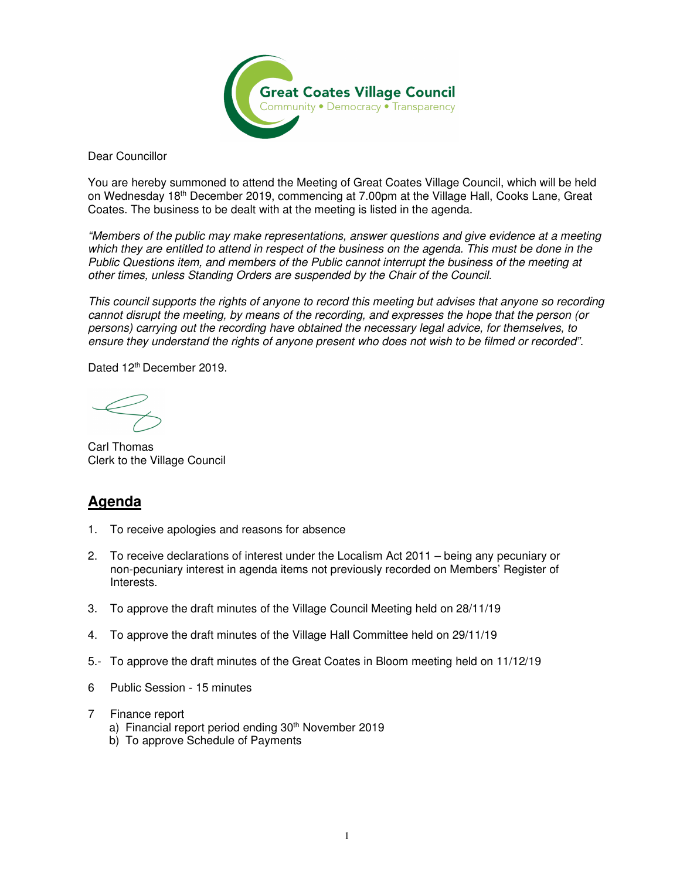

Dear Councillor

You are hereby summoned to attend the Meeting of Great Coates Village Council, which will be held on Wednesday 18th December 2019, commencing at 7.00pm at the Village Hall, Cooks Lane, Great Coates. The business to be dealt with at the meeting is listed in the agenda.

"Members of the public may make representations, answer questions and give evidence at a meeting which they are entitled to attend in respect of the business on the agenda. This must be done in the Public Questions item, and members of the Public cannot interrupt the business of the meeting at other times, unless Standing Orders are suspended by the Chair of the Council.

This council supports the rights of anyone to record this meeting but advises that anyone so recording cannot disrupt the meeting, by means of the recording, and expresses the hope that the person (or persons) carrying out the recording have obtained the necessary legal advice, for themselves, to ensure they understand the rights of anyone present who does not wish to be filmed or recorded".

Dated 12<sup>th</sup> December 2019.

Carl Thomas Clerk to the Village Council

## **Agenda**

- 1. To receive apologies and reasons for absence
- 2. To receive declarations of interest under the Localism Act 2011 being any pecuniary or non-pecuniary interest in agenda items not previously recorded on Members' Register of Interests.
- 3. To approve the draft minutes of the Village Council Meeting held on 28/11/19
- 4. To approve the draft minutes of the Village Hall Committee held on 29/11/19
- 5.- To approve the draft minutes of the Great Coates in Bloom meeting held on 11/12/19
- 6 Public Session 15 minutes
- 7 Finance report
	- a) Financial report period ending 30<sup>th</sup> November 2019
	- b) To approve Schedule of Payments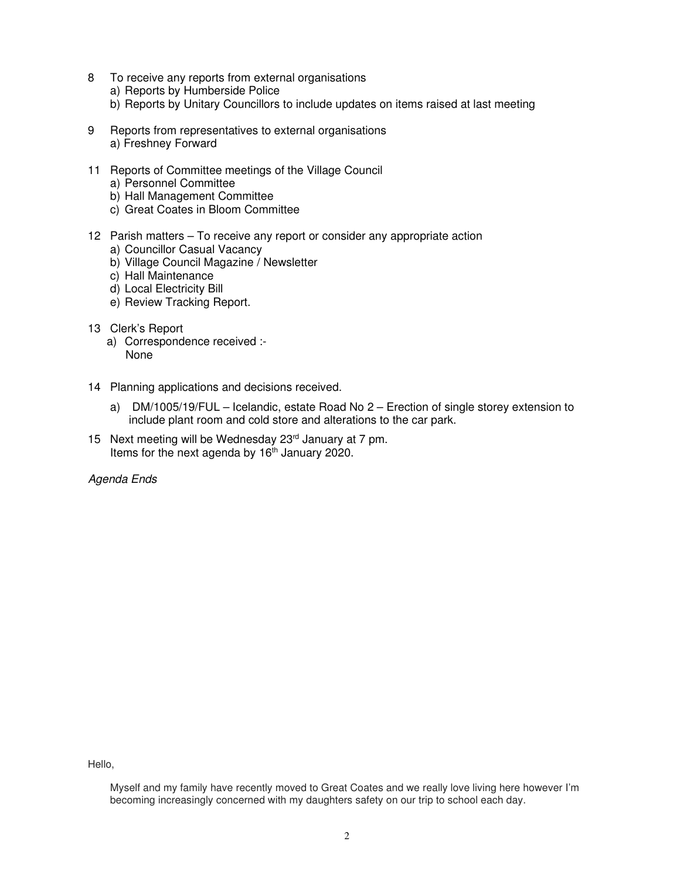- 8 To receive any reports from external organisations
	- a) Reports by Humberside Police
	- b) Reports by Unitary Councillors to include updates on items raised at last meeting
- 9 Reports from representatives to external organisations a) Freshney Forward
- 11 Reports of Committee meetings of the Village Council
	- a) Personnel Committee
	- b) Hall Management Committee
	- c) Great Coates in Bloom Committee
- 12 Parish matters To receive any report or consider any appropriate action
	- a) Councillor Casual Vacancy
	- b) Village Council Magazine / Newsletter
	- c) Hall Maintenance
	- d) Local Electricity Bill
	- e) Review Tracking Report.
- 13 Clerk's Report
	- a) Correspondence received :- None
- 14 Planning applications and decisions received.
	- a) DM/1005/19/FUL Icelandic, estate Road No 2 Erection of single storey extension to include plant room and cold store and alterations to the car park.
- 15 Next meeting will be Wednesday  $23<sup>rd</sup>$  January at 7 pm. Items for the next agenda by  $16<sup>th</sup>$  January 2020.

Agenda Ends

Hello,

Myself and my family have recently moved to Great Coates and we really love living here however I'm becoming increasingly concerned with my daughters safety on our trip to school each day.